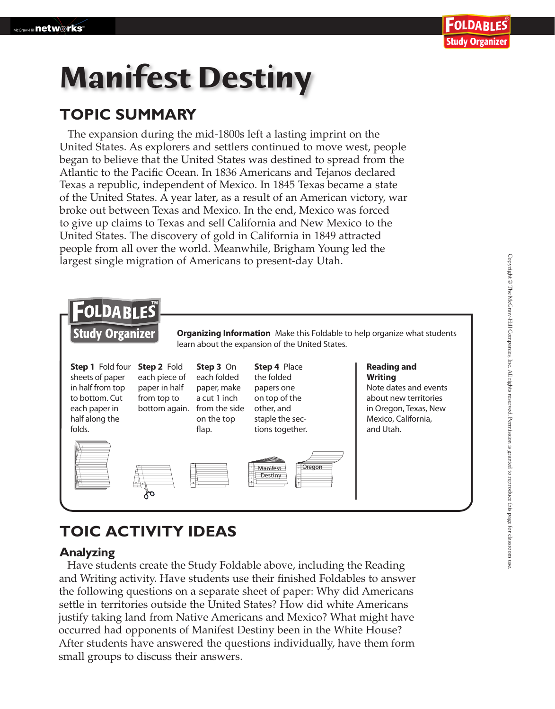# **Manifest Destiny**

### **TOPIC SUMMARY**

The expansion during the mid-1800s left a lasting imprint on the United States. As explorers and settlers continued to move west, people began to believe that the United States was destined to spread from the Atlantic to the Pacific Ocean. In 1836 Americans and Tejanos declared Texas a republic, independent of Mexico. In 1845 Texas became a state of the United States. A year later, as a result of an American victory, war broke out between Texas and Mexico. In the end, Mexico was forced to give up claims to Texas and sell California and New Mexico to the United States. The discovery of gold in California in 1849 attracted people from all over the world. Meanwhile, Brigham Young led the largest single migration of Americans to present-day Utah.



## **TOIC ACTIVITY IDEAS**

#### **Analyzing**

settle in territories outside the United States? How did white Americans Have students create the Study Foldable above, including the Reading and Writing activity. Have students use their finished Foldables to answer the following questions on a separate sheet of paper: Why did Americans justify taking land from Native Americans and Mexico? What might have occurred had opponents of Manifest Destiny been in the White House? After students have answered the questions individually, have them form small groups to discuss their answers.